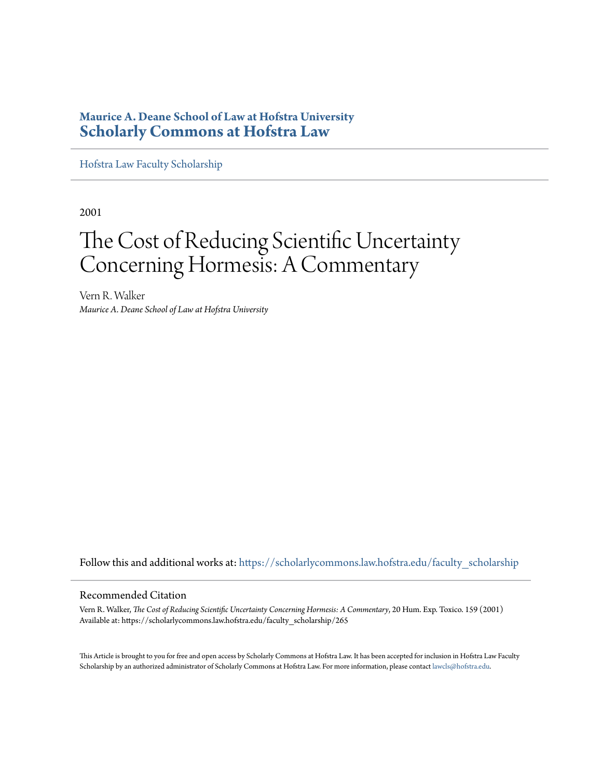### **Maurice A. Deane School of Law at Hofstra University [Scholarly Commons at Hofstra Law](https://scholarlycommons.law.hofstra.edu?utm_source=scholarlycommons.law.hofstra.edu%2Ffaculty_scholarship%2F265&utm_medium=PDF&utm_campaign=PDFCoverPages)**

[Hofstra Law Faculty Scholarship](https://scholarlycommons.law.hofstra.edu/faculty_scholarship?utm_source=scholarlycommons.law.hofstra.edu%2Ffaculty_scholarship%2F265&utm_medium=PDF&utm_campaign=PDFCoverPages)

2001

# The Cost of Reducing Scientific Uncertainty Concerning Hormesis: A Commentary

Vern R. Walker *Maurice A. Deane School of Law at Hofstra University*

Follow this and additional works at: [https://scholarlycommons.law.hofstra.edu/faculty\\_scholarship](https://scholarlycommons.law.hofstra.edu/faculty_scholarship?utm_source=scholarlycommons.law.hofstra.edu%2Ffaculty_scholarship%2F265&utm_medium=PDF&utm_campaign=PDFCoverPages)

#### Recommended Citation

Vern R. Walker, *The Cost of Reducing Scientific Uncertainty Concerning Hormesis: A Commentary*, 20 Hum. Exp. Toxico. 159 (2001) Available at: https://scholarlycommons.law.hofstra.edu/faculty\_scholarship/265

This Article is brought to you for free and open access by Scholarly Commons at Hofstra Law. It has been accepted for inclusion in Hofstra Law Faculty Scholarship by an authorized administrator of Scholarly Commons at Hofstra Law. For more information, please contact [lawcls@hofstra.edu](mailto:lawcls@hofstra.edu).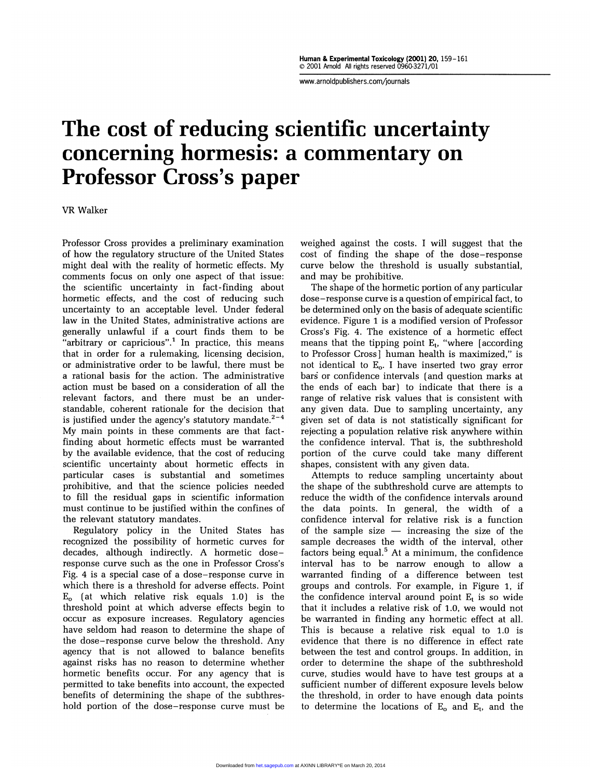www.arnoldpublishers.com/journals

## The cost of reducing scientific uncertainty concerning hormesis: a commentary on Professor Cross's paper

VR Walker

Professor Cross provides a preliminary examination of how the regulatory structure of the United States might deal with the reality of hormetic effects. My comments focus on only one aspect of that issue: the scientific uncertainty in fact-finding about hormetic effects, and the cost of reducing such uncertainty to an acceptable level. Under federal law in the United States, administrative actions are generally unlawful if a court finds them to be "arbitrary or capricious".' In practice, this means that in order for a rulemaking, licensing decision, or administrative order to be lawful, there must be a rational basis for the action. The administrative action must be based on a consideration of all the relevant factors, and there must be an understandable, coherent rationale for the decision that is justified under the agency's statutory mandate.<sup>2-4</sup> My main points in these comments are that factfinding about hormetic effects must be warranted by the available evidence, that the cost of reducing scientific uncertainty about hormetic effects in particular cases is substantial and sometimes prohibitive, and that the science policies needed to fill the residual gaps in scientific information must continue to be justified within the confines of the relevant statutory mandates.

Regulatory policy in the United States has recognized the possibility of hormetic curves for decades, although indirectly. A hormetic doseresponse curve such as the one in Professor Cross's Fig. 4 is a special case of a dose-response curve in which there is a threshold for adverse effects. Point  $E_0$  (at which relative risk equals 1.0) is the threshold point at which adverse effects begin to occur as exposure increases. Regulatory agencies have seldom had reason to determine the shape of the dose-response curve below the threshold. Any agency that is not allowed to balance benefits against risks has no reason to determine whether hormetic benefits occur. For any agency that is permitted to take benefits into account, the expected benefits of determining the shape of the subthreshold portion of the dose-response curve must be

weighed against the costs. <sup>I</sup> will suggest that the cost of finding the shape of the dose-response curve below the threshold is usually substantial, and may be prohibitive.

The shape of the hormetic portion of any particular dose-response curve is a question of empirical fact, to be determined only on the basis of adequate scientific evidence. Figure 1 is a modified version of Professor Cross's Fig. 4. The existence of a hormetic effect means that the tipping point  $E_t$ , "where [according to Professor Cross] human health is maximized," is not identical to  $E_0$ . I have inserted two gray error bars or confidence intervals (and question marks at the ends of each bar) to indicate that there is a range of relative risk values that is consistent with any given data. Due to sampling uncertainty, any given set of data is not statistically significant for rejecting a population relative risk anywhere within the confidence interval. That is, the subthreshold portion of the curve could take many different shapes, consistent with any given data.

Attempts to reduce sampling uncertainty about the shape of the subthreshold curve are attempts to reduce the width of the confidence intervals around the data points. In general, the width of a confidence interval for relative risk is a function of the sample size  $-$  increasing the size of the sample decreases the width of the interval, other factors being equal. $5$  At a minimum, the confidence interval has to be narrow enough to allow a warranted finding of a difference between test groups and controls. For example, in Figure 1, if the confidence interval around point  $E_t$  is so wide that it includes a relative risk of 1.0, we would not be warranted in finding any hormetic effect at all. This is because a relative risk equal to 1.0 is evidence that there is no difference in effect rate between the test and control groups. In addition, in order to determine the shape of the subthreshold curve, studies would have to have test groups at a sufficient number of different exposure levels below the threshold, in order to have enough data points to determine the locations of  $E_0$  and  $E_t$ , and the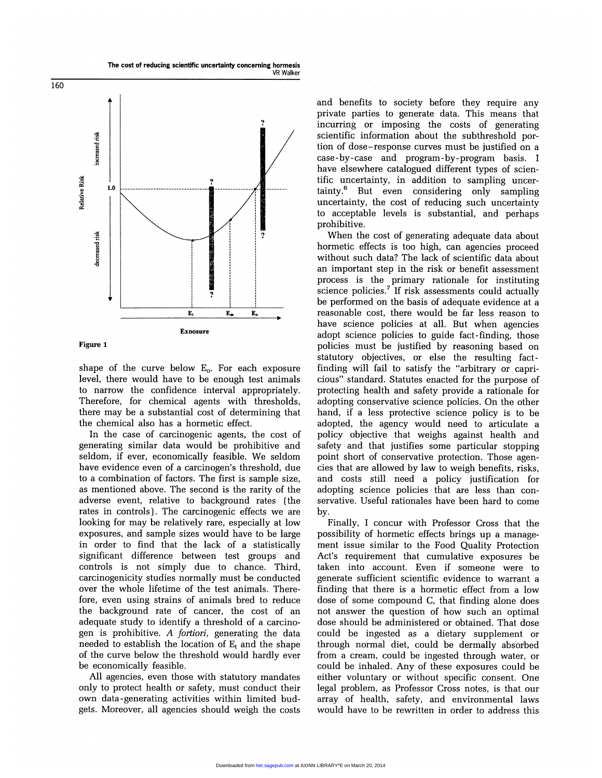The cost of reducing scientific uncertainty concerning hormesis VR Walker





shape of the curve below  $E_0$ . For each exposure level, there would have to be enough test animals to narrow the confidence interval appropriately. Therefore, for chemical agents with thresholds, there may be a substantial cost of determining that the chemical also has a hormetic effect.

In the case of carcinogenic agents, the cost of generating similar data would be prohibitive and seldom, if ever, economically feasible. We seldom have evidence even of a carcinogen's threshold, due to a combination of factors. The first is sample size, as mentioned above. The second is the rarity of the adverse event, relative to background rates (the rates in controls). The carcinogenic effects we are looking for may be relatively rare, especially at low exposures, and sample sizes would have to be large in order to find that the lack of a statistically significant difference between test groups and controls is not simply due to chance. Third, carcinogenicity studies normally must be conducted over the whole lifetime of the test animals. Therefore, even using strains of animals bred to reduce the background rate of cancer, the cost of an adequate study to identify a threshold of a carcinogen is prohibitive. A fortiori, generating the data needed to establish the location of  $E_t$  and the shape of the curve below the threshold would hardly ever be economically feasible.

All agencies, even those with statutory mandates only to protect health or safety, must conduct their own data-generating activities within limited budgets. Moreover, all agencies should weigh the costs and benefits to society before they require any private parties to generate data. This means that incurring or imposing the costs of generating scientific information about the subthreshold portion of dose-response curves must be justified on a case-by-case and program-by-program basis. <sup>I</sup> have elsewhere catalogued different types of scientific uncertainty, in addition to sampling uncertainty.6 But even considering only sampling uncertainty, the cost of reducing such uncertainty to acceptable levels is substantial, and perhaps prohibitive.

When the cost of generating adequate data about hormetic effects is too high, can agencies proceed without such data? The lack of scientific data about an important step in the risk or benefit assessment process is the primary rationale for instituting science policies.<sup>7</sup> If risk assessments could actually be performed on the basis of adequate evidence at a reasonable cost, there would be far less reason to have science policies at all. But when agencies adopt science policies to guide fact-finding, those policies must be justified by reasoning based on statutory objectives, or else the resulting factfinding will fail to satisfy the "arbitrary or capricious" standard. Statutes enacted for the purpose of protecting health and safety provide a rationale for adopting conservative science policies. On the other hand, if a less protective science policy is to be adopted, the agency would need to articulate a policy objective that weighs against health and safety and that justifies some particular stopping point short of conservative protection. Those agencies that are allowed by law to weigh benefits, risks, and costs still need a policy justification for adopting science policies that are less than conservative. Useful rationales have been hard to come by.

Finally, <sup>I</sup> concur with Professor Cross that the possibility of hormetic effects brings up a management issue similar to the Food Quality Protection Act's requirement that cumulative exposures be taken into account. Even if someone were to generate sufficient scientific evidence to warrant a finding that there is a hormetic effect from a low dose of some compound C, that finding alone does not answer the question of how such an optimal dose should be administered or obtained. That dose could be ingested as a dietary supplement or through normal diet, could be dermally absorbed from a cream, could be ingested through water, or could be inhaled. Any of these exposures could be either voluntary or without specific consent. One legal problem, as Professor Cross notes, is that our array of health, safety, and environmental laws would have to be rewritten in order to address this